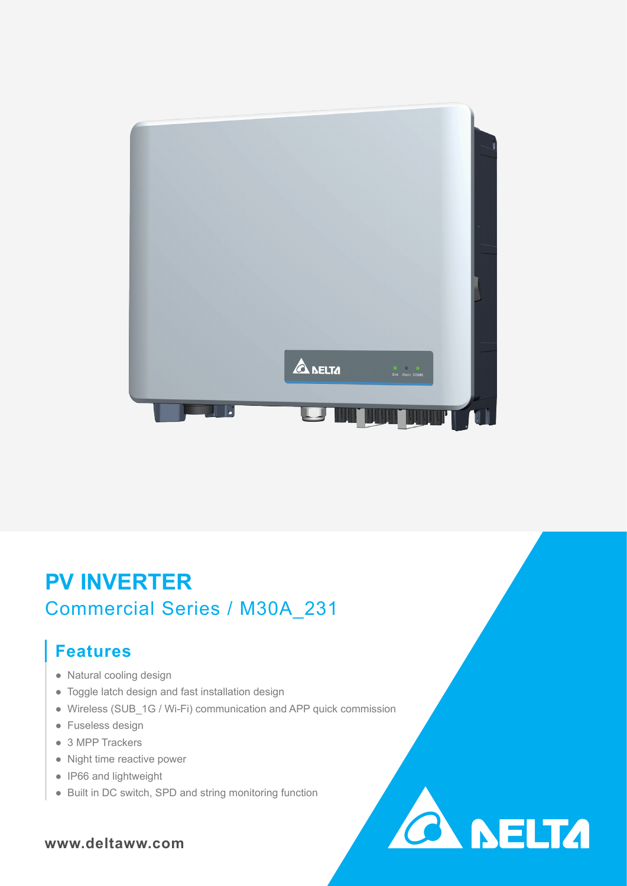

# **PV INVERTER** Commercial Series / M30A\_231

## **Features**

- Natural cooling design
- Toggle latch design and fast installation design
- Wireless (SUB\_1G / Wi-Fi) communication and APP quick commission

**CA NELTA** 

- Fuseless design
- 3 MPP Trackers
- Night time reactive power
- IP66 and lightweight
- Built in DC switch, SPD and string monitoring function

### **www.deltaww.com**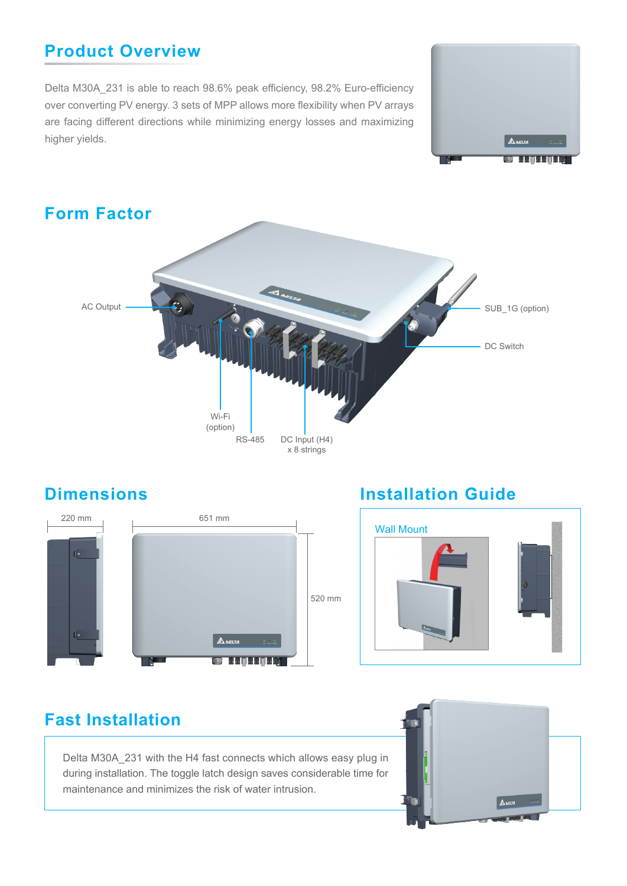### **Product Overview**

Delta M30A\_231 is able to reach 98.6% peak efficiency, 98.2% Euro-efficiency over converting PV energy. 3 sets of MPP allows more flexibility when PV arrays are facing different directions while minimizing energy losses and maximizing higher yields.







### **Dimensions Installation Guide**



### **Fast Installation**

Delta M30A\_231 with the H4 fast connects which allows easy plug in during installation. The toggle latch design saves considerable time for maintenance and minimizes the risk of water intrusion.

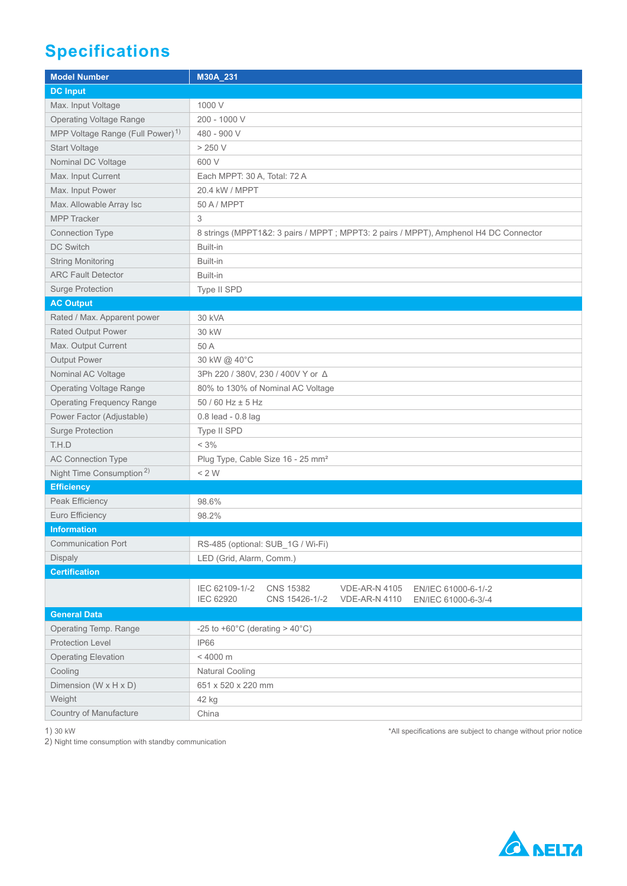## **Specifications**

| <b>Model Number</b>                          | M30A_231                                                                                                                                                               |
|----------------------------------------------|------------------------------------------------------------------------------------------------------------------------------------------------------------------------|
| <b>DC Input</b>                              |                                                                                                                                                                        |
| Max. Input Voltage                           | 1000 V                                                                                                                                                                 |
| <b>Operating Voltage Range</b>               | 200 - 1000 V                                                                                                                                                           |
| MPP Voltage Range (Full Power) <sup>1)</sup> | 480 - 900 V                                                                                                                                                            |
| Start Voltage                                | $>250$ V                                                                                                                                                               |
| Nominal DC Voltage                           | 600 V                                                                                                                                                                  |
| Max. Input Current                           | Each MPPT: 30 A, Total: 72 A                                                                                                                                           |
| Max. Input Power                             | 20.4 kW / MPPT                                                                                                                                                         |
| Max. Allowable Array Isc                     | 50 A / MPPT                                                                                                                                                            |
| <b>MPP Tracker</b>                           | 3                                                                                                                                                                      |
| Connection Type                              | 8 strings (MPPT1&2: 3 pairs / MPPT; MPPT3: 2 pairs / MPPT), Amphenol H4 DC Connector                                                                                   |
| <b>DC Switch</b>                             | Built-in                                                                                                                                                               |
| <b>String Monitoring</b>                     | Built-in                                                                                                                                                               |
| <b>ARC Fault Detector</b>                    | Built-in                                                                                                                                                               |
| <b>Surge Protection</b>                      | Type II SPD                                                                                                                                                            |
| <b>AC Output</b>                             |                                                                                                                                                                        |
| Rated / Max. Apparent power                  | 30 kVA                                                                                                                                                                 |
| <b>Rated Output Power</b>                    | 30 kW                                                                                                                                                                  |
| Max. Output Current                          | 50 A                                                                                                                                                                   |
| <b>Output Power</b>                          | 30 kW @ 40°C                                                                                                                                                           |
| Nominal AC Voltage                           | 3Ph 220 / 380V, 230 / 400V Y or Δ                                                                                                                                      |
| <b>Operating Voltage Range</b>               | 80% to 130% of Nominal AC Voltage                                                                                                                                      |
| <b>Operating Frequency Range</b>             | 50 / 60 Hz ± 5 Hz                                                                                                                                                      |
| Power Factor (Adjustable)                    | 0.8 lead - 0.8 lag                                                                                                                                                     |
| Surge Protection                             | Type II SPD                                                                                                                                                            |
| T.H.D                                        | $< 3\%$                                                                                                                                                                |
| <b>AC Connection Type</b>                    | Plug Type, Cable Size 16 - 25 mm <sup>2</sup>                                                                                                                          |
| Night Time Consumption <sup>2)</sup>         | < 2 W                                                                                                                                                                  |
| <b>Efficiency</b>                            |                                                                                                                                                                        |
| Peak Efficiency                              | 98.6%                                                                                                                                                                  |
| Euro Efficiency                              | 98.2%                                                                                                                                                                  |
| <b>Information</b>                           |                                                                                                                                                                        |
| Communication Port                           | RS-485 (optional: SUB_1G / Wi-Fi)                                                                                                                                      |
| <b>Dispaly</b>                               | LED (Grid, Alarm, Comm.)                                                                                                                                               |
| <b>Certification</b>                         |                                                                                                                                                                        |
|                                              | IEC 62109-1/-2<br><b>CNS 15382</b><br><b>VDE-AR-N 4105</b><br>EN/IEC 61000-6-1/-2<br><b>IEC 62920</b><br>CNS 15426-1/-2<br><b>VDE-AR-N 4110</b><br>EN/IEC 61000-6-3/-4 |
| <b>General Data</b>                          |                                                                                                                                                                        |
| Operating Temp. Range                        | -25 to +60 $^{\circ}$ C (derating > 40 $^{\circ}$ C)                                                                                                                   |
| <b>Protection Level</b>                      | <b>IP66</b>                                                                                                                                                            |
| <b>Operating Elevation</b>                   | < 4000 m                                                                                                                                                               |
| Cooling                                      | <b>Natural Cooling</b>                                                                                                                                                 |
| Dimension (W x H x D)                        | 651 x 520 x 220 mm                                                                                                                                                     |
| Weight                                       | 42 kg                                                                                                                                                                  |
| Country of Manufacture                       | China                                                                                                                                                                  |
|                                              |                                                                                                                                                                        |

1) 30 kW

2) Night time consumption with standby communication

\*All specifications are subject to change without prior notice